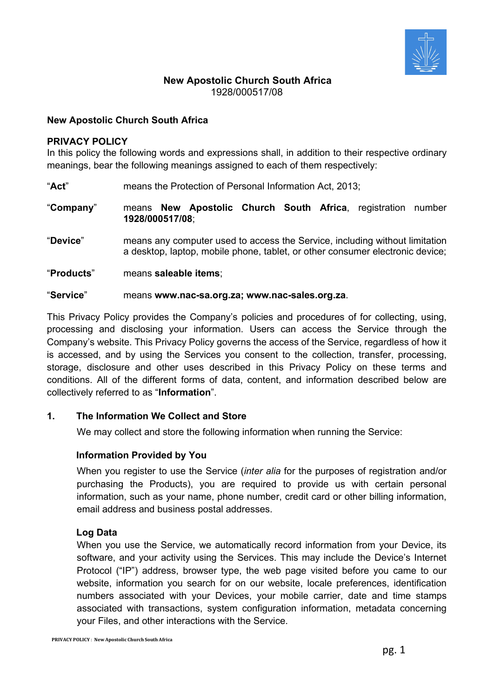

# **New Apostolic Church South Africa** 1928/000517/08

## **New Apostolic Church South Africa**

#### **PRIVACY POLICY**

In this policy the following words and expressions shall, in addition to their respective ordinary meanings, bear the following meanings assigned to each of them respectively:

"**Act**" means the Protection of Personal Information Act, 2013;

"**Company**" means **New Apostolic Church South Africa**, registration number **1928/000517/08**;

"**Device**" means any computer used to access the Service, including without limitation a desktop, laptop, mobile phone, tablet, or other consumer electronic device;

"**Products**" means **saleable items**;

#### "**Service**" means **www.nac-sa.org.za; www.nac-sales.org.za**.

This Privacy Policy provides the Company's policies and procedures of for collecting, using, processing and disclosing your information. Users can access the Service through the Company's website. This Privacy Policy governs the access of the Service, regardless of how it is accessed, and by using the Services you consent to the collection, transfer, processing, storage, disclosure and other uses described in this Privacy Policy on these terms and conditions. All of the different forms of data, content, and information described below are collectively referred to as "**Information**".

### **1. The Information We Collect and Store**

We may collect and store the following information when running the Service:

### **Information Provided by You**

When you register to use the Service (*inter alia* for the purposes of registration and/or purchasing the Products), you are required to provide us with certain personal information, such as your name, phone number, credit card or other billing information, email address and business postal addresses.

### **Log Data**

When you use the Service, we automatically record information from your Device, its software, and your activity using the Services. This may include the Device's Internet Protocol ("IP") address, browser type, the web page visited before you came to our website, information you search for on our website, locale preferences, identification numbers associated with your Devices, your mobile carrier, date and time stamps associated with transactions, system configuration information, metadata concerning your Files, and other interactions with the Service.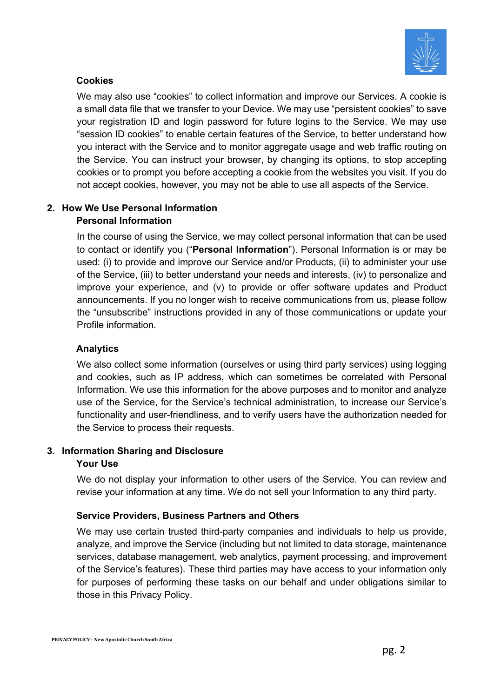

# **Cookies**

We may also use "cookies" to collect information and improve our Services. A cookie is a small data file that we transfer to your Device. We may use "persistent cookies" to save your registration ID and login password for future logins to the Service. We may use "session ID cookies" to enable certain features of the Service, to better understand how you interact with the Service and to monitor aggregate usage and web traffic routing on the Service. You can instruct your browser, by changing its options, to stop accepting cookies or to prompt you before accepting a cookie from the websites you visit. If you do not accept cookies, however, you may not be able to use all aspects of the Service.

# **2. How We Use Personal Information Personal Information**

In the course of using the Service, we may collect personal information that can be used to contact or identify you ("**Personal Information**"). Personal Information is or may be used: (i) to provide and improve our Service and/or Products, (ii) to administer your use of the Service, (iii) to better understand your needs and interests, (iv) to personalize and improve your experience, and (v) to provide or offer software updates and Product announcements. If you no longer wish to receive communications from us, please follow the "unsubscribe" instructions provided in any of those communications or update your [Profile](https://www.dropbox.com/account/settings) information.

# **Analytics**

We also collect some information (ourselves or using third party services) using logging and cookies, such as IP address, which can sometimes be correlated with Personal Information. We use this information for the above purposes and to monitor and analyze use of the Service, for the Service's technical administration, to increase our Service's functionality and user-friendliness, and to verify users have the authorization needed for the Service to process their requests.

## **3. Information Sharing and Disclosure**

## **Your Use**

We do not display your information to other users of the Service. You can review and revise your information at any time. We do not sell your Information to any third party.

# **Service Providers, Business Partners and Others**

We may use certain trusted third-party companies and individuals to help us provide, analyze, and improve the Service (including but not limited to data storage, maintenance services, database management, web analytics, payment processing, and improvement of the Service's features). These third parties may have access to your information only for purposes of performing these tasks on our behalf and under obligations similar to those in this Privacy Policy.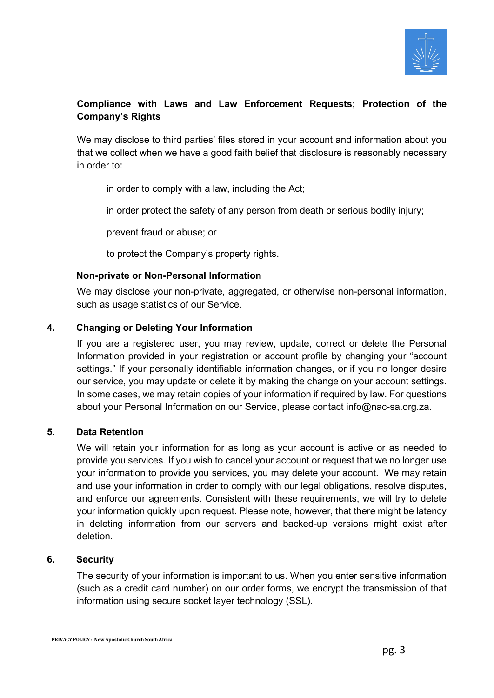

# **Compliance with Laws and Law Enforcement Requests; Protection of the Company's Rights**

We may disclose to third parties' files stored in your account and information about you that we collect when we have a good faith belief that disclosure is reasonably necessary in order to:

in order to comply with a law, including the Act;

in order protect the safety of any person from death or serious bodily injury;

prevent fraud or abuse; or

to protect the Company's property rights.

## **Non-private or Non-Personal Information**

We may disclose your non-private, aggregated, or otherwise non-personal information, such as usage statistics of our Service.

## **4. Changing or Deleting Your Information**

If you are a registered user, you may review, update, correct or delete the Personal Information provided in your registration or account profile by changing your "account settings." If your personally identifiable information changes, or if you no longer desire our service, you may update or delete it by making the change on your [account settings.](https://www.dropbox.com/account/settings) In some cases, we may retain copies of your information if required by law. For questions about your Personal Information on our Service, please contact info@nac-sa.org.za.

### **5. Data Retention**

We will retain your information for as long as your account is active or as needed to provide you services. If you wish to cancel your account or request that we no longer use your information to provide you services, you may delete your account. We may retain and use your information in order to comply with our legal obligations, resolve disputes, and enforce our agreements. Consistent with these requirements, we will try to delete your information quickly upon request. Please note, however, that there might be latency in deleting information from our servers and backed-up versions might exist after deletion.

## **6. Security**

The security of your information is important to us. When you enter sensitive information (such as a credit card number) on our order forms, we encrypt the transmission of that information using secure socket layer technology (SSL).